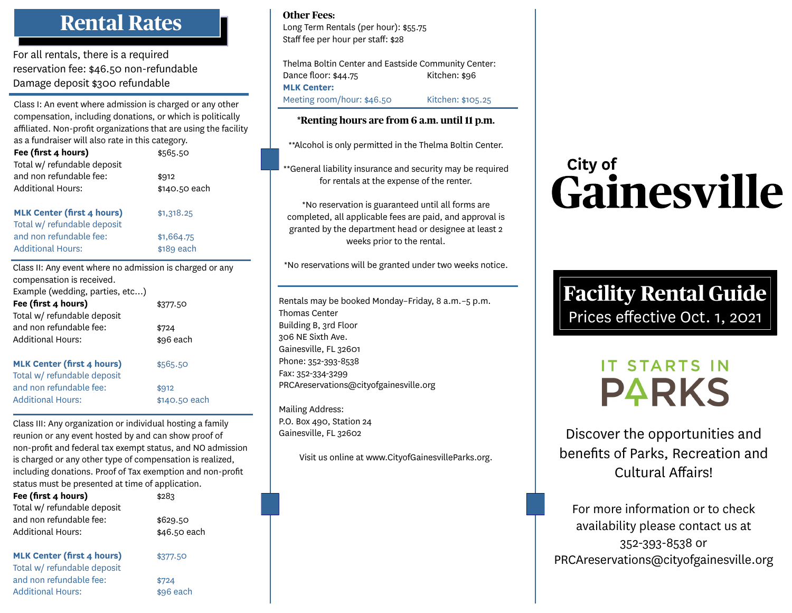## **Rental Rates**

For all rentals, there is a required reservation fee: \$46.50 non-refundable Damage deposit \$300 refundable

Class I: An event where admission is charged or any other compensation, including donations, or which is politically affiliated. Non-profit organizations that are using the facility as a fundraiser will also rate in this category.

| Fee (first 4 hours)<br>Total w/ refundable deposit                                    | \$565.50      |  |
|---------------------------------------------------------------------------------------|---------------|--|
| and non refundable fee:                                                               | \$912         |  |
| <b>Additional Hours:</b>                                                              | \$140.50 each |  |
| <b>MLK Center (first 4 hours)</b><br>Total w/ refundable deposit                      | \$1,318.25    |  |
| and non refundable fee:                                                               | \$1,664.75    |  |
| <b>Additional Hours:</b>                                                              | \$189 each    |  |
| Class II: Any event where no admission is charged or any<br>compensation is received. |               |  |

| Example (wedding, parties, etc)<br>Fee (first 4 hours)<br>Total w/ refundable deposit | \$377.50      |
|---------------------------------------------------------------------------------------|---------------|
| and non refundable fee:                                                               | \$724         |
| <b>Additional Hours:</b>                                                              | \$96 each     |
| <b>MLK Center (first 4 hours)</b><br>Total w/ refundable deposit                      | \$565.50      |
| and non refundable fee:                                                               | \$912         |
| <b>Additional Hours:</b>                                                              | \$140.50 each |

Class III: Any organization or individual hosting a family reunion or any event hosted by and can show proof of non-profit and federal tax exempt status, and NO admission is charged or any other type of compensation is realized, including donations. Proof of Tax exemption and non-profit status must be presented at time of application.

| Fee (first 4 hours)<br>Total w/ refundable deposit               | \$283                    |
|------------------------------------------------------------------|--------------------------|
| and non refundable fee:<br><b>Additional Hours:</b>              | \$629.50<br>\$46.50 each |
| <b>MLK Center (first 4 hours)</b><br>Total w/ refundable deposit | \$377.50                 |
| and non refundable fee:                                          | \$724                    |

Additional Hours:  $$96$  each

**Other Fees:**

Long Term Rentals (per hour): \$55.75 Staff fee per hour per staff: \$28

Thelma Boltin Center and Eastside Community Center: Dance floor: \$44.75 Kitchen: \$96 **MLK Center:** Meeting room/hour: \$46.50 Kitchen: \$105.25

#### **\*Renting hours are from 6 a.m. until 11 p.m.**

\*\*Alcohol is only permitted in the Thelma Boltin Center.

\*\*General liability insurance and security may be required for rentals at the expense of the renter.

\*No reservation is guaranteed until all forms are completed, all applicable fees are paid, and approval is granted by the department head or designee at least 2 weeks prior to the rental.

\*No reservations will be granted under two weeks notice.

Rentals may be booked Monday–Friday, 8 a.m.–5 p.m. Thomas Center Building B, 3rd Floor 306 NE Sixth Ave. Gainesville, FL 32601 Phone: 352-393-8538 Fax: 352-334-3299 PRCAreservations@cityofgainesville.org

Mailing Address: P.O. Box 490, Station 24 Gainesville, FL 32602

Visit us online at www.CityofGainesvilleParks.org.

# City of Gainesville

### **Facility Rental Guide** Prices effective Oct. 1, 2021

## **IT STARTS IN PARKS**

Discover the opportunities and benefits of Parks, Recreation and Cultural Affairs!

For more information or to check availability please contact us at 352-393-8538 or PRCAreservations@cityofgainesville.org